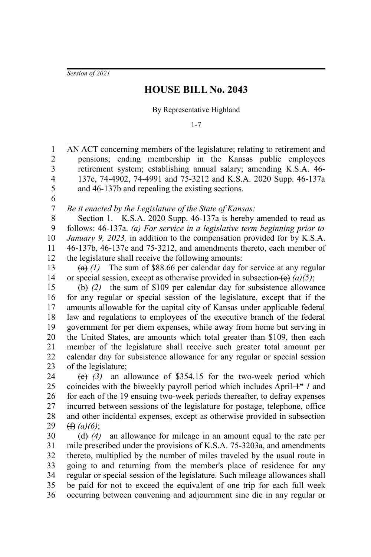*Session of 2021*

1

## **HOUSE BILL No. 2043**

## By Representative Highland

1-7

AN ACT concerning members of the legislature; relating to retirement and

pensions; ending membership in the Kansas public employees retirement system; establishing annual salary; amending K.S.A. 46- 137e, 74-4902, 74-4991 and 75-3212 and K.S.A. 2020 Supp. 46-137a and 46-137b and repealing the existing sections. *Be it enacted by the Legislature of the State of Kansas:* Section 1. K.S.A. 2020 Supp. 46-137a is hereby amended to read as follows: 46-137a. *(a) For service in a legislative term beginning prior to January 9, 2023,* in addition to the compensation provided for by K.S.A. 46-137b, 46-137e and 75-3212, and amendments thereto, each member of the legislature shall receive the following amounts:  $(a)$  (1) The sum of \$88.66 per calendar day for service at any regular or special session, except as otherwise provided in subsection (e) *(a)(5)*; (b) *(2)* the sum of \$109 per calendar day for subsistence allowance for any regular or special session of the legislature, except that if the amounts allowable for the capital city of Kansas under applicable federal law and regulations to employees of the executive branch of the federal government for per diem expenses, while away from home but serving in the United States, are amounts which total greater than \$109, then each member of the legislature shall receive such greater total amount per calendar day for subsistence allowance for any regular or special session of the legislature; (c) *(3)* an allowance of \$354.15 for the two-week period which coincides with the biweekly payroll period which includes April $+$ <sup>st</sup> *1* and for each of the 19 ensuing two-week periods thereafter, to defray expenses incurred between sessions of the legislature for postage, telephone, office and other incidental expenses, except as otherwise provided in subsection (f) *(a)(6)*; (d) *(4)* an allowance for mileage in an amount equal to the rate per mile prescribed under the provisions of K.S.A. 75-3203a, and amendments thereto, multiplied by the number of miles traveled by the usual route in going to and returning from the member's place of residence for any regular or special session of the legislature. Such mileage allowances shall be paid for not to exceed the equivalent of one trip for each full week occurring between convening and adjournment sine die in any regular or 2 3 4 5 6 7 8 9 10 11 12 13 14 15 16 17 18 19 20 21 22 23 24 25 26 27 28 29 30 31 32 33 34 35 36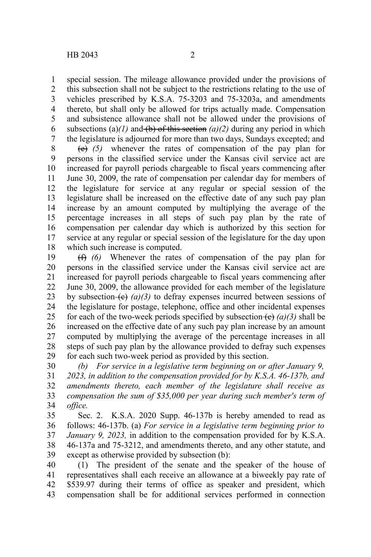special session. The mileage allowance provided under the provisions of this subsection shall not be subject to the restrictions relating to the use of vehicles prescribed by K.S.A. 75-3203 and 75-3203a, and amendments thereto, but shall only be allowed for trips actually made. Compensation and subsistence allowance shall not be allowed under the provisions of subsections (a) $(1)$  and (b) of this section  $(a)/2$ ) during any period in which the legislature is adjourned for more than two days, Sundays excepted; and 1 2 3 4 5 6 7

(e) *(5)* whenever the rates of compensation of the pay plan for persons in the classified service under the Kansas civil service act are increased for payroll periods chargeable to fiscal years commencing after June 30, 2009, the rate of compensation per calendar day for members of the legislature for service at any regular or special session of the legislature shall be increased on the effective date of any such pay plan increase by an amount computed by multiplying the average of the percentage increases in all steps of such pay plan by the rate of compensation per calendar day which is authorized by this section for service at any regular or special session of the legislature for the day upon which such increase is computed. 8 9 10 11 12 13 14 15 16 17 18

(f) *(6)* Whenever the rates of compensation of the pay plan for persons in the classified service under the Kansas civil service act are increased for payroll periods chargeable to fiscal years commencing after June 30, 2009, the allowance provided for each member of the legislature by subsection  $\left(\frac{e}{f}\right)(a)(3)$  to defray expenses incurred between sessions of the legislature for postage, telephone, office and other incidental expenses for each of the two-week periods specified by subsection  $(e)$  (a)(3) shall be increased on the effective date of any such pay plan increase by an amount computed by multiplying the average of the percentage increases in all steps of such pay plan by the allowance provided to defray such expenses for each such two-week period as provided by this section. 19 20 21 22 23 24 25 26 27 28 29

*(b) For service in a legislative term beginning on or after January 9, 2023, in addition to the compensation provided for by K.S.A. 46-137b, and amendments thereto, each member of the legislature shall receive as compensation the sum of \$35,000 per year during such member's term of office.* 30 31 32 33 34

Sec. 2. K.S.A. 2020 Supp. 46-137b is hereby amended to read as follows: 46-137b. (a) *For service in a legislative term beginning prior to January 9, 2023,* in addition to the compensation provided for by K.S.A. 46-137a and 75-3212, and amendments thereto, and any other statute, and except as otherwise provided by subsection (b): 35 36 37 38 39

(1) The president of the senate and the speaker of the house of representatives shall each receive an allowance at a biweekly pay rate of \$539.97 during their terms of office as speaker and president, which compensation shall be for additional services performed in connection 40 41 42 43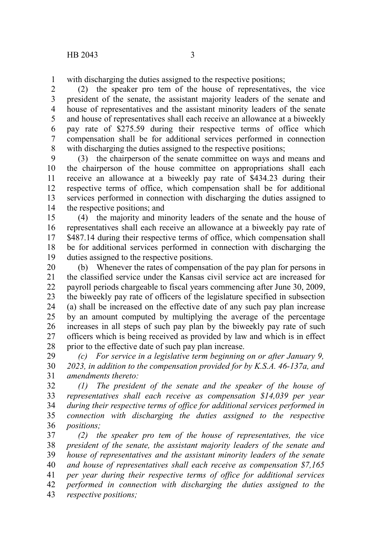with discharging the duties assigned to the respective positions; 1

(2) the speaker pro tem of the house of representatives, the vice president of the senate, the assistant majority leaders of the senate and house of representatives and the assistant minority leaders of the senate and house of representatives shall each receive an allowance at a biweekly pay rate of \$275.59 during their respective terms of office which compensation shall be for additional services performed in connection with discharging the duties assigned to the respective positions; 2 3 4 5 6 7 8

(3) the chairperson of the senate committee on ways and means and the chairperson of the house committee on appropriations shall each receive an allowance at a biweekly pay rate of \$434.23 during their respective terms of office, which compensation shall be for additional services performed in connection with discharging the duties assigned to the respective positions; and 9 10 11 12 13 14

(4) the majority and minority leaders of the senate and the house of representatives shall each receive an allowance at a biweekly pay rate of \$487.14 during their respective terms of office, which compensation shall be for additional services performed in connection with discharging the duties assigned to the respective positions. 15 16 17 18 19

(b) Whenever the rates of compensation of the pay plan for persons in the classified service under the Kansas civil service act are increased for payroll periods chargeable to fiscal years commencing after June 30, 2009, the biweekly pay rate of officers of the legislature specified in subsection (a) shall be increased on the effective date of any such pay plan increase by an amount computed by multiplying the average of the percentage increases in all steps of such pay plan by the biweekly pay rate of such officers which is being received as provided by law and which is in effect prior to the effective date of such pay plan increase. 20 21 22 23 24 25 26 27 28

*(c) For service in a legislative term beginning on or after January 9, 2023, in addition to the compensation provided for by K.S.A. 46-137a, and amendments thereto:* 29 30 31

*(1) The president of the senate and the speaker of the house of representatives shall each receive as compensation \$14,039 per year during their respective terms of office for additional services performed in connection with discharging the duties assigned to the respective positions;* 32 33 34 35 36

*(2) the speaker pro tem of the house of representatives, the vice president of the senate, the assistant majority leaders of the senate and house of representatives and the assistant minority leaders of the senate and house of representatives shall each receive as compensation \$7,165 per year during their respective terms of office for additional services performed in connection with discharging the duties assigned to the respective positions;* 37 38 39 40 41 42 43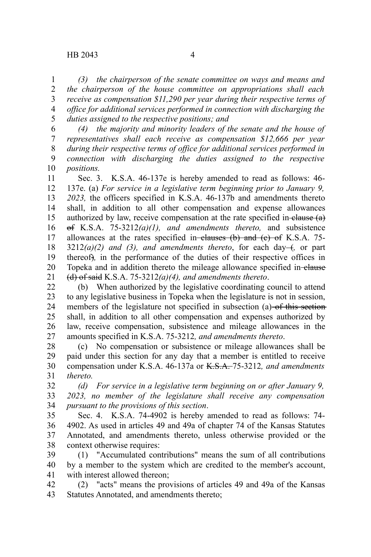*(3) the chairperson of the senate committee on ways and means and the chairperson of the house committee on appropriations shall each receive as compensation \$11,290 per year during their respective terms of office for additional services performed in connection with discharging the duties assigned to the respective positions; and* 1 2 3 4 5

*(4) the majority and minority leaders of the senate and the house of representatives shall each receive as compensation \$12,666 per year during their respective terms of office for additional services performed in connection with discharging the duties assigned to the respective positions.* 6 7 8 9 10

Sec. 3. K.S.A. 46-137e is hereby amended to read as follows: 46- 137e. (a) *For service in a legislative term beginning prior to January 9, 2023,* the officers specified in K.S.A. 46-137b and amendments thereto shall, in addition to all other compensation and expense allowances authorized by law, receive compensation at the rate specified in-elause  $(a)$ of K.S.A. 75-3212*(a)(1), and amendments thereto,* and subsistence allowances at the rates specified in-clauses  $(b)$  and  $(c)$  of K.S.A. 75- $3212(a)(2)$  and (3), and amendments thereto, for each day- $\leftrightarrow$ , or part thereof)*,* in the performance of the duties of their respective offices in Topeka and in addition thereto the mileage allowance specified in-elause (d) of said K.S.A. 75-3212*(a)(4), and amendments thereto*. 11 12 13 14 15 16 17 18 19 20 21

(b) When authorized by the legislative coordinating council to attend to any legislative business in Topeka when the legislature is not in session, members of the legislature not specified in subsection (a) of this section shall, in addition to all other compensation and expenses authorized by law, receive compensation, subsistence and mileage allowances in the amounts specified in K.S.A. 75-3212*, and amendments thereto*. 22 23 24 25 26 27

(c) No compensation or subsistence or mileage allowances shall be paid under this section for any day that a member is entitled to receive compensation under K.S.A. 46-137a or K.S.A. 75-3212*, and amendments thereto.* 28 29 30 31

*(d) For service in a legislative term beginning on or after January 9, 2023, no member of the legislature shall receive any compensation pursuant to the provisions of this section*. 32 33 34

Sec. 4. K.S.A. 74-4902 is hereby amended to read as follows: 74- 4902. As used in articles 49 and 49a of chapter 74 of the Kansas Statutes Annotated, and amendments thereto, unless otherwise provided or the context otherwise requires: 35 36 37 38

(1) "Accumulated contributions" means the sum of all contributions by a member to the system which are credited to the member's account, with interest allowed thereon; 39 40 41

(2) "acts" means the provisions of articles 49 and 49a of the Kansas Statutes Annotated, and amendments thereto; 42 43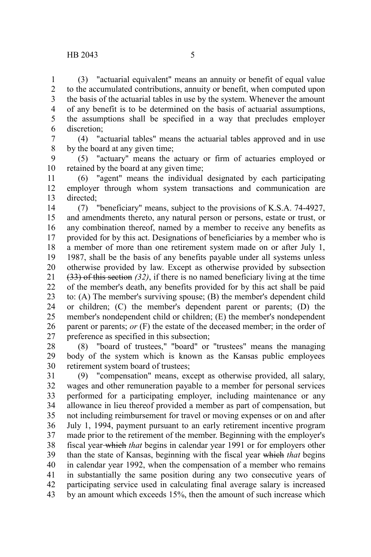(3) "actuarial equivalent" means an annuity or benefit of equal value to the accumulated contributions, annuity or benefit, when computed upon the basis of the actuarial tables in use by the system. Whenever the amount of any benefit is to be determined on the basis of actuarial assumptions, the assumptions shall be specified in a way that precludes employer discretion; 1 2 3 4 5 6

(4) "actuarial tables" means the actuarial tables approved and in use by the board at any given time; 7 8

(5) "actuary" means the actuary or firm of actuaries employed or retained by the board at any given time; 9 10

(6) "agent" means the individual designated by each participating employer through whom system transactions and communication are directed; 11 12 13

(7) "beneficiary" means, subject to the provisions of K.S.A. 74-4927, and amendments thereto, any natural person or persons, estate or trust, or any combination thereof, named by a member to receive any benefits as provided for by this act. Designations of beneficiaries by a member who is a member of more than one retirement system made on or after July 1, 1987, shall be the basis of any benefits payable under all systems unless otherwise provided by law. Except as otherwise provided by subsection (33) of this section *(32)*, if there is no named beneficiary living at the time of the member's death, any benefits provided for by this act shall be paid to: (A) The member's surviving spouse; (B) the member's dependent child or children; (C) the member's dependent parent or parents; (D) the member's nondependent child or children; (E) the member's nondependent parent or parents; *or* (F) the estate of the deceased member; in the order of preference as specified in this subsection; 14 15 16 17 18 19 20 21 22 23 24 25 26 27

(8) "board of trustees," "board" or "trustees" means the managing body of the system which is known as the Kansas public employees retirement system board of trustees; 28 29 30

(9) "compensation" means, except as otherwise provided, all salary, wages and other remuneration payable to a member for personal services performed for a participating employer, including maintenance or any allowance in lieu thereof provided a member as part of compensation, but not including reimbursement for travel or moving expenses or on and after July 1, 1994, payment pursuant to an early retirement incentive program made prior to the retirement of the member. Beginning with the employer's fiscal year which *that* begins in calendar year 1991 or for employers other than the state of Kansas, beginning with the fiscal year which *that* begins in calendar year 1992, when the compensation of a member who remains in substantially the same position during any two consecutive years of participating service used in calculating final average salary is increased by an amount which exceeds 15%, then the amount of such increase which 31 32 33 34 35 36 37 38 39 40 41 42 43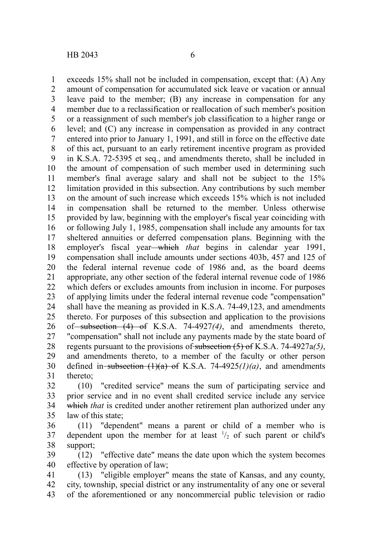exceeds 15% shall not be included in compensation, except that: (A) Any amount of compensation for accumulated sick leave or vacation or annual leave paid to the member; (B) any increase in compensation for any member due to a reclassification or reallocation of such member's position or a reassignment of such member's job classification to a higher range or level; and (C) any increase in compensation as provided in any contract entered into prior to January 1, 1991, and still in force on the effective date of this act, pursuant to an early retirement incentive program as provided in K.S.A. 72-5395 et seq., and amendments thereto, shall be included in the amount of compensation of such member used in determining such member's final average salary and shall not be subject to the 15% limitation provided in this subsection. Any contributions by such member on the amount of such increase which exceeds 15% which is not included in compensation shall be returned to the member. Unless otherwise provided by law, beginning with the employer's fiscal year coinciding with or following July 1, 1985, compensation shall include any amounts for tax sheltered annuities or deferred compensation plans. Beginning with the employer's fiscal year—which *that* begins in calendar year 1991, compensation shall include amounts under sections 403b, 457 and 125 of the federal internal revenue code of 1986 and, as the board deems appropriate, any other section of the federal internal revenue code of 1986 which defers or excludes amounts from inclusion in income. For purposes of applying limits under the federal internal revenue code "compensation" shall have the meaning as provided in K.S.A. 74-49,123, and amendments thereto. For purposes of this subsection and application to the provisions of subsection (4) of K.S.A. 74-4927*(4)*, and amendments thereto, "compensation" shall not include any payments made by the state board of regents pursuant to the provisions of subsection (5) of K.S.A. 74-4927a*(5)*, and amendments thereto, to a member of the faculty or other person defined in subsection  $(1)(a)$  of K.S.A. 74-4925 $(1)(a)$ , and amendments thereto; 1 2 3 4 5 6 7 8 9 10 11 12 13 14 15 16 17 18 19 20 21 22 23 24 25 26 27 28 29 30 31

(10) "credited service" means the sum of participating service and prior service and in no event shall credited service include any service which *that* is credited under another retirement plan authorized under any law of this state; 32 33 34 35

(11) "dependent" means a parent or child of a member who is dependent upon the member for at least  $\frac{1}{2}$  of such parent or child's support; 36 37 38

(12) "effective date" means the date upon which the system becomes effective by operation of law; 39 40

(13) "eligible employer" means the state of Kansas, and any county, city, township, special district or any instrumentality of any one or several of the aforementioned or any noncommercial public television or radio 41 42 43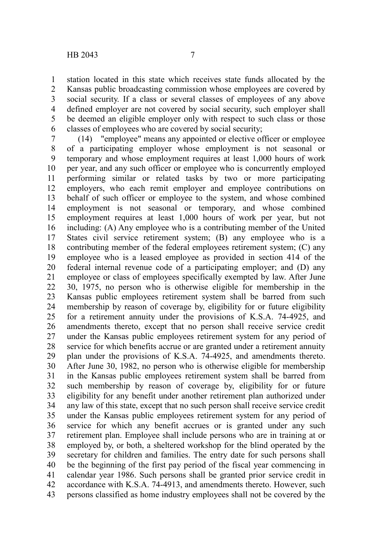station located in this state which receives state funds allocated by the Kansas public broadcasting commission whose employees are covered by social security. If a class or several classes of employees of any above defined employer are not covered by social security, such employer shall be deemed an eligible employer only with respect to such class or those classes of employees who are covered by social security; 1 2 3 4 5 6

(14) "employee" means any appointed or elective officer or employee of a participating employer whose employment is not seasonal or temporary and whose employment requires at least 1,000 hours of work per year, and any such officer or employee who is concurrently employed performing similar or related tasks by two or more participating employers, who each remit employer and employee contributions on behalf of such officer or employee to the system, and whose combined employment is not seasonal or temporary, and whose combined employment requires at least 1,000 hours of work per year, but not including: (A) Any employee who is a contributing member of the United States civil service retirement system; (B) any employee who is a contributing member of the federal employees retirement system; (C) any employee who is a leased employee as provided in section 414 of the federal internal revenue code of a participating employer; and (D) any employee or class of employees specifically exempted by law. After June 30, 1975, no person who is otherwise eligible for membership in the Kansas public employees retirement system shall be barred from such membership by reason of coverage by, eligibility for or future eligibility for a retirement annuity under the provisions of K.S.A. 74-4925, and amendments thereto, except that no person shall receive service credit under the Kansas public employees retirement system for any period of service for which benefits accrue or are granted under a retirement annuity plan under the provisions of K.S.A. 74-4925, and amendments thereto. After June 30, 1982, no person who is otherwise eligible for membership in the Kansas public employees retirement system shall be barred from such membership by reason of coverage by, eligibility for or future eligibility for any benefit under another retirement plan authorized under any law of this state, except that no such person shall receive service credit under the Kansas public employees retirement system for any period of service for which any benefit accrues or is granted under any such retirement plan. Employee shall include persons who are in training at or employed by, or both, a sheltered workshop for the blind operated by the secretary for children and families. The entry date for such persons shall be the beginning of the first pay period of the fiscal year commencing in calendar year 1986. Such persons shall be granted prior service credit in accordance with K.S.A. 74-4913, and amendments thereto. However, such persons classified as home industry employees shall not be covered by the 7 8 9 10 11 12 13 14 15 16 17 18 19 20 21 22 23 24 25 26 27 28 29 30 31 32 33 34 35 36 37 38 39 40 41 42 43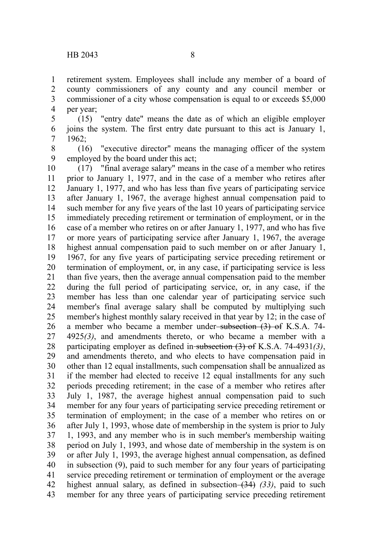retirement system. Employees shall include any member of a board of county commissioners of any county and any council member or commissioner of a city whose compensation is equal to or exceeds \$5,000 per year; 1 2 3 4

(15) "entry date" means the date as of which an eligible employer joins the system. The first entry date pursuant to this act is January 1, 1962; 5 6 7

(16) "executive director" means the managing officer of the system employed by the board under this act; 8 9

(17) "final average salary" means in the case of a member who retires prior to January 1, 1977, and in the case of a member who retires after January 1, 1977, and who has less than five years of participating service after January 1, 1967, the average highest annual compensation paid to such member for any five years of the last 10 years of participating service immediately preceding retirement or termination of employment, or in the case of a member who retires on or after January 1, 1977, and who has five or more years of participating service after January 1, 1967, the average highest annual compensation paid to such member on or after January 1, 1967, for any five years of participating service preceding retirement or termination of employment, or, in any case, if participating service is less than five years, then the average annual compensation paid to the member during the full period of participating service, or, in any case, if the member has less than one calendar year of participating service such member's final average salary shall be computed by multiplying such member's highest monthly salary received in that year by 12; in the case of a member who became a member under-subsection (3) of K.S.A. 74-4925*(3)*, and amendments thereto, or who became a member with a participating employer as defined in subsection (3) of K.S.A. 74-4931*(3)*, and amendments thereto, and who elects to have compensation paid in other than 12 equal installments, such compensation shall be annualized as if the member had elected to receive 12 equal installments for any such periods preceding retirement; in the case of a member who retires after July 1, 1987, the average highest annual compensation paid to such member for any four years of participating service preceding retirement or termination of employment; in the case of a member who retires on or after July 1, 1993, whose date of membership in the system is prior to July 1, 1993, and any member who is in such member's membership waiting period on July 1, 1993, and whose date of membership in the system is on or after July 1, 1993, the average highest annual compensation, as defined in subsection (9), paid to such member for any four years of participating service preceding retirement or termination of employment or the average highest annual salary, as defined in subsection (34) *(33)*, paid to such member for any three years of participating service preceding retirement 10 11 12 13 14 15 16 17 18 19 20 21 22 23 24 25 26 27 28 29 30 31 32 33 34 35 36 37 38 39 40 41 42 43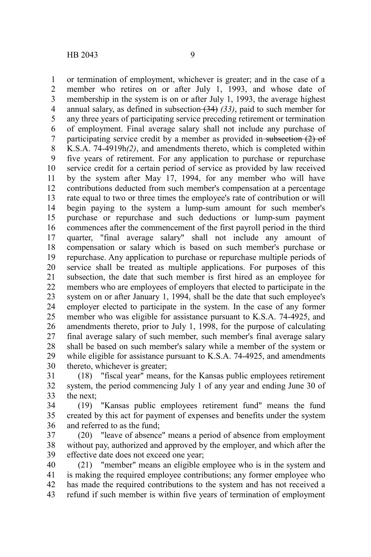1 2

or termination of employment, whichever is greater; and in the case of a member who retires on or after July 1, 1993, and whose date of

membership in the system is on or after July 1, 1993, the average highest annual salary, as defined in subsection (34) *(33)*, paid to such member for any three years of participating service preceding retirement or termination of employment. Final average salary shall not include any purchase of participating service credit by a member as provided in-subsection  $(2)$  of K.S.A. 74-4919h*(2)*, and amendments thereto, which is completed within five years of retirement. For any application to purchase or repurchase service credit for a certain period of service as provided by law received by the system after May 17, 1994, for any member who will have contributions deducted from such member's compensation at a percentage rate equal to two or three times the employee's rate of contribution or will begin paying to the system a lump-sum amount for such member's purchase or repurchase and such deductions or lump-sum payment commences after the commencement of the first payroll period in the third quarter, "final average salary" shall not include any amount of compensation or salary which is based on such member's purchase or repurchase. Any application to purchase or repurchase multiple periods of service shall be treated as multiple applications. For purposes of this subsection, the date that such member is first hired as an employee for members who are employees of employers that elected to participate in the system on or after January 1, 1994, shall be the date that such employee's employer elected to participate in the system. In the case of any former member who was eligible for assistance pursuant to K.S.A. 74-4925, and amendments thereto, prior to July 1, 1998, for the purpose of calculating final average salary of such member, such member's final average salary shall be based on such member's salary while a member of the system or while eligible for assistance pursuant to K.S.A. 74-4925, and amendments thereto, whichever is greater; 3 4 5 6 7 8 9 10 11 12 13 14 15 16 17 18 19 20 21 22 23 24 25 26 27 28 29 30

(18) "fiscal year" means, for the Kansas public employees retirement system, the period commencing July 1 of any year and ending June 30 of the next; 31 32 33

(19) "Kansas public employees retirement fund" means the fund created by this act for payment of expenses and benefits under the system and referred to as the fund; 34 35 36

(20) "leave of absence" means a period of absence from employment without pay, authorized and approved by the employer, and which after the effective date does not exceed one year; 37 38 39

(21) "member" means an eligible employee who is in the system and is making the required employee contributions; any former employee who has made the required contributions to the system and has not received a refund if such member is within five years of termination of employment 40 41 42 43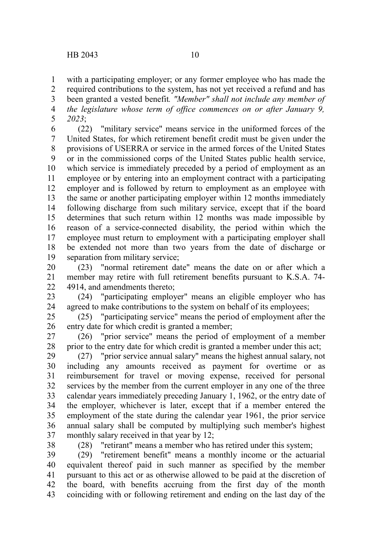with a participating employer; or any former employee who has made the 1

required contributions to the system, has not yet received a refund and has been granted a vested benefit*. "Member" shall not include any member of the legislature whose term of office commences on or after January 9, 2023*; 2 3 4 5

(22) "military service" means service in the uniformed forces of the United States, for which retirement benefit credit must be given under the provisions of USERRA or service in the armed forces of the United States or in the commissioned corps of the United States public health service, which service is immediately preceded by a period of employment as an employee or by entering into an employment contract with a participating employer and is followed by return to employment as an employee with the same or another participating employer within 12 months immediately following discharge from such military service, except that if the board determines that such return within 12 months was made impossible by reason of a service-connected disability, the period within which the employee must return to employment with a participating employer shall be extended not more than two years from the date of discharge or separation from military service; 6 7 8 9 10 11 12 13 14 15 16 17 18 19

(23) "normal retirement date" means the date on or after which a member may retire with full retirement benefits pursuant to K.S.A. 74- 4914, and amendments thereto; 20 21 22

(24) "participating employer" means an eligible employer who has agreed to make contributions to the system on behalf of its employees; 23 24

(25) "participating service" means the period of employment after the entry date for which credit is granted a member; 25 26

(26) "prior service" means the period of employment of a member prior to the entry date for which credit is granted a member under this act; 27 28

(27) "prior service annual salary" means the highest annual salary, not including any amounts received as payment for overtime or as reimbursement for travel or moving expense, received for personal services by the member from the current employer in any one of the three calendar years immediately preceding January 1, 1962, or the entry date of the employer, whichever is later, except that if a member entered the employment of the state during the calendar year 1961, the prior service annual salary shall be computed by multiplying such member's highest monthly salary received in that year by 12; 29 30 31 32 33 34 35 36 37

38

(28) "retirant" means a member who has retired under this system;

(29) "retirement benefit" means a monthly income or the actuarial equivalent thereof paid in such manner as specified by the member pursuant to this act or as otherwise allowed to be paid at the discretion of the board, with benefits accruing from the first day of the month coinciding with or following retirement and ending on the last day of the 39 40 41 42 43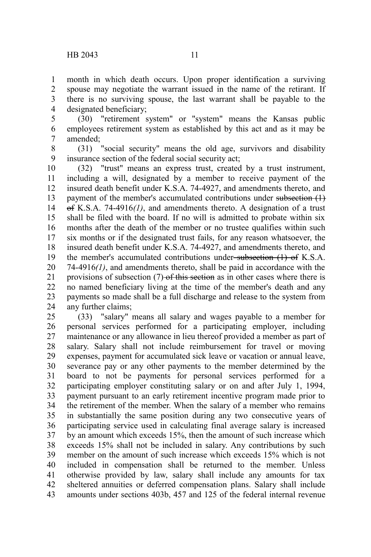month in which death occurs. Upon proper identification a surviving spouse may negotiate the warrant issued in the name of the retirant. If there is no surviving spouse, the last warrant shall be payable to the designated beneficiary; 1 2 3 4

(30) "retirement system" or "system" means the Kansas public employees retirement system as established by this act and as it may be amended; 5 6 7

8

(31) "social security" means the old age, survivors and disability insurance section of the federal social security act; 9

(32) "trust" means an express trust, created by a trust instrument, including a will, designated by a member to receive payment of the insured death benefit under K.S.A. 74-4927, and amendments thereto, and payment of the member's accumulated contributions under subsection (1) of K.S.A. 74-4916*(1)*, and amendments thereto. A designation of a trust shall be filed with the board. If no will is admitted to probate within six months after the death of the member or no trustee qualifies within such six months or if the designated trust fails, for any reason whatsoever, the insured death benefit under K.S.A. 74-4927, and amendments thereto, and the member's accumulated contributions under subsection (1) of K.S.A. 74-4916*(1)*, and amendments thereto, shall be paid in accordance with the provisions of subsection (7) of this section as in other cases where there is no named beneficiary living at the time of the member's death and any payments so made shall be a full discharge and release to the system from any further claims; 10 11 12 13 14 15 16 17 18 19 20 21 22 23 24

(33) "salary" means all salary and wages payable to a member for personal services performed for a participating employer, including maintenance or any allowance in lieu thereof provided a member as part of salary. Salary shall not include reimbursement for travel or moving expenses, payment for accumulated sick leave or vacation or annual leave, severance pay or any other payments to the member determined by the board to not be payments for personal services performed for a participating employer constituting salary or on and after July 1, 1994, payment pursuant to an early retirement incentive program made prior to the retirement of the member. When the salary of a member who remains in substantially the same position during any two consecutive years of participating service used in calculating final average salary is increased by an amount which exceeds 15%, then the amount of such increase which exceeds 15% shall not be included in salary. Any contributions by such member on the amount of such increase which exceeds 15% which is not included in compensation shall be returned to the member. Unless otherwise provided by law, salary shall include any amounts for tax sheltered annuities or deferred compensation plans. Salary shall include amounts under sections 403b, 457 and 125 of the federal internal revenue 25 26 27 28 29 30 31 32 33 34 35 36 37 38 39 40 41 42 43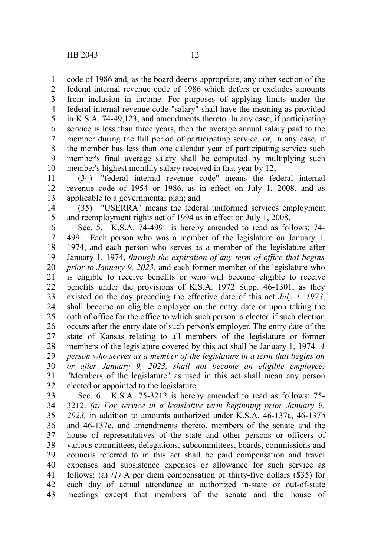code of 1986 and, as the board deems appropriate, any other section of the federal internal revenue code of 1986 which defers or excludes amounts from inclusion in income. For purposes of applying limits under the federal internal revenue code "salary" shall have the meaning as provided in K.S.A. 74-49,123, and amendments thereto. In any case, if participating service is less than three years, then the average annual salary paid to the member during the full period of participating service, or, in any case, if the member has less than one calendar year of participating service such member's final average salary shall be computed by multiplying such member's highest monthly salary received in that year by 12; 1 2 3 4 5 6 7 8 9 10

(34) "federal internal revenue code" means the federal internal revenue code of 1954 or 1986, as in effect on July 1, 2008, and as applicable to a governmental plan; and 11 12 13

(35) "USERRA" means the federal uniformed services employment and reemployment rights act of 1994 as in effect on July 1, 2008. 14 15

Sec. 5. K.S.A. 74-4991 is hereby amended to read as follows: 74- 4991. Each person who was a member of the legislature on January 1, 1974, and each person who serves as a member of the legislature after January 1, 1974, *through the expiration of any term of office that begins prior to January 9, 2023,* and each former member of the legislature who is eligible to receive benefits or who will become eligible to receive benefits under the provisions of K.S.A. 1972 Supp. 46-1301, as they existed on the day preceding the effective date of this act *July 1, 1973*, shall become an eligible employee on the entry date or upon taking the oath of office for the office to which such person is elected if such election occurs after the entry date of such person's employer. The entry date of the state of Kansas relating to all members of the legislature or former members of the legislature covered by this act shall be January 1, 1974. *A person who serves as a member of the legislature in a term that begins on or after January 9, 2023, shall not become an eligible employee.* "Members of the legislature" as used in this act shall mean any person elected or appointed to the legislature. 16 17 18 19 20 21 22 23 24 25 26 27 28 29 30 31 32

Sec. 6. K.S.A. 75-3212 is hereby amended to read as follows: 75- 3212. *(a) For service in a legislative term beginning prior January 9, 2023,* in addition to amounts authorized under K.S.A. 46-137a, 46-137b and 46-137e, and amendments thereto, members of the senate and the house of representatives of the state and other persons or officers of various committees, delegations, subcommittees, boards, commissions and councils referred to in this act shall be paid compensation and travel expenses and subsistence expenses or allowance for such service as follows:  $(a)$  (1) A per diem compensation of thirty-five dollars (\$35) for each day of actual attendance at authorized in-state or out-of-state meetings except that members of the senate and the house of 33 34 35 36 37 38 39 40 41 42 43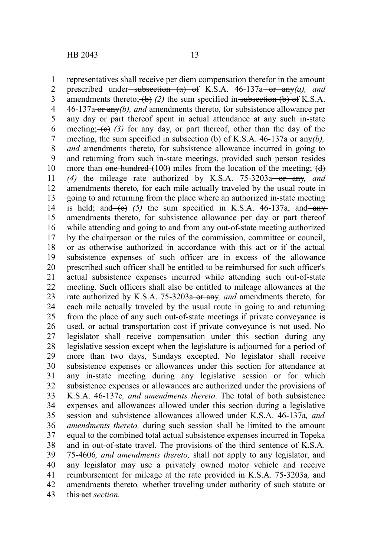representatives shall receive per diem compensation therefor in the amount prescribed under subsection (a) of K.S.A. 46-137a or any*(a), and* amendments thereto;  $\left(\frac{b}{c}\right)$  (2) the sum specified in subsection (b) of K.S.A. 46-137a or any*(b), and* amendments thereto*,* for subsistence allowance per any day or part thereof spent in actual attendance at any such in-state meeting;  $(e)$  (3) for any day, or part thereof, other than the day of the meeting, the sum specified in subsection (b) of K.S.A. 46-137a or any(b), *and* amendments thereto*,* for subsistence allowance incurred in going to and returning from such in-state meetings, provided such person resides more than one hundred  $(100)$  miles from the location of the meeting;  $(d)$ *(4)* the mileage rate authorized by K.S.A. 75-3203a or any*, and* amendments thereto*,* for each mile actually traveled by the usual route in going to and returning from the place where an authorized in-state meeting is held; and  $(e)$  (5) the sum specified in K.S.A. 46-137a, and any amendments thereto, for subsistence allowance per day or part thereof while attending and going to and from any out-of-state meeting authorized by the chairperson or the rules of the commission, committee or council, or as otherwise authorized in accordance with this act or if the actual subsistence expenses of such officer are in excess of the allowance prescribed such officer shall be entitled to be reimbursed for such officer's actual subsistence expenses incurred while attending such out-of-state meeting. Such officers shall also be entitled to mileage allowances at the rate authorized by K.S.A. 75-3203a-or any, and amendments thereto, for each mile actually traveled by the usual route in going to and returning from the place of any such out-of-state meetings if private conveyance is used, or actual transportation cost if private conveyance is not used. No legislator shall receive compensation under this section during any legislative session except when the legislature is adjourned for a period of more than two days, Sundays excepted. No legislator shall receive subsistence expenses or allowances under this section for attendance at any in-state meeting during any legislative session or for which subsistence expenses or allowances are authorized under the provisions of K.S.A. 46-137e*, and amendments thereto*. The total of both subsistence expenses and allowances allowed under this section during a legislative session and subsistence allowances allowed under K.S.A. 46-137a*, and amendments thereto,* during such session shall be limited to the amount equal to the combined total actual subsistence expenses incurred in Topeka and in out-of-state travel. The provisions of the third sentence of K.S.A. 75-4606*, and amendments thereto,* shall not apply to any legislator, and any legislator may use a privately owned motor vehicle and receive reimbursement for mileage at the rate provided in K.S.A. 75-3203a*,* and amendments thereto*,* whether traveling under authority of such statute or this action. 1 2 3 4 5 6 7 8 9 10 11 12 13 14 15 16 17 18 19 20 21 22 23 24 25 26 27 28 29 30 31 32 33 34 35 36 37 38 39 40 41 42 43